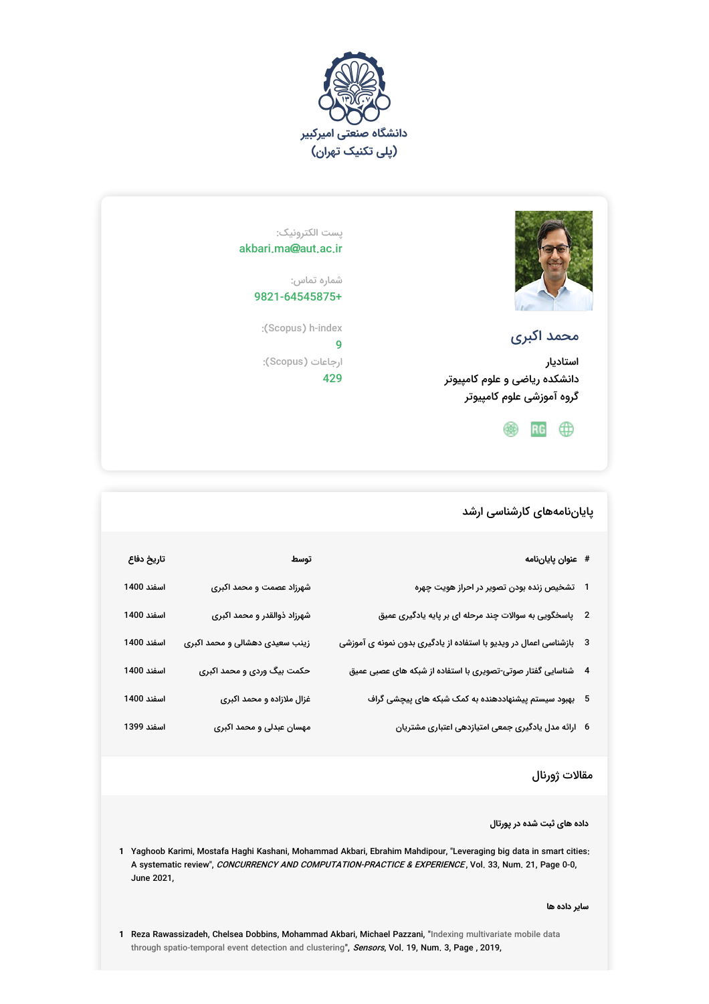



# محمد اکبری

استادیار دانشکده ریاضی و علوم کامپیوتر گروه آموزشی علوم کامپیوتر

 $RG$   $@$ 

پست الکترونیک: akbari.ma@aut.ac.ir

> شماره تماس: 9821-64545875+

:(Scopus) h-index 9 ارجاعات (Scopus(: 429

### پایاننامههای کارشناسی ارشد

| # عنوان پاياننامه                                                      | توسط                           | تاريخ دفاع |
|------------------------------------------------------------------------|--------------------------------|------------|
| 1    تشخیص زنده بودن تصویر در احراز هویت چهره                          | شهرزاد عصمت و محمد اکبری       | اسفند 1400 |
| 2 ٪ پاسخگویی به سوالات چند مرحله ای بر پایه یادگیری عمیق               | شهرزاد ذوالقدر و محمد اکبری    | اسفند 1400 |
| 3    بازشناسی اعمال در ویدیو با استفاده از یادگیری بدون نمونه ی آموزشی | زینب سعیدی دهشالی و محمد اکبری | اسفند 1400 |
| 4 ٪ شناسایی گفتار صوتی-تصویری با استفاده از شبکه های عصبی عمیق         | حکمت بیگ وردی و محمد اکبری     | اسفند 1400 |
| 5 بهبود سیستم پیشنهاددهنده به کمک شبکه های پیچشی گراف                  | غزال ملازاده و محمد اکبری      | اسفند 1400 |
| 6   ارائه مدل یادگیری جمعی امتیازدهی اعتباری مشتریان                   | مهسان عبدلی و محمد اکبری       | اسفند 1399 |

## مقالات ژورنال

#### **داده های ثبت شده در پورتال**

**1** Yaghoob Karimi, Mostafa Haghi Kashani, Mohammad Akbari, Ebrahim Mahdipour, "Leveraging big data in smart cities: A systematic review", *CONCURRENCY AND COMPUTATION-PRACTICE & EXPERIENCE* , Vol. 33, Num. 21, Page 0-0, June 2021,

**سایر داده ها**

**1** Reza Rawassizadeh, Chelsea Dobbins, Mohammad Akbari, Michael Pazzani, " Indexing multivariate mobile data through [spatio-temporal](http://www.mdpi.com/1424-8220/19/3/448) event detection and clustering", *Sensors*, Vol. 19, Num. 3, Page , 2019,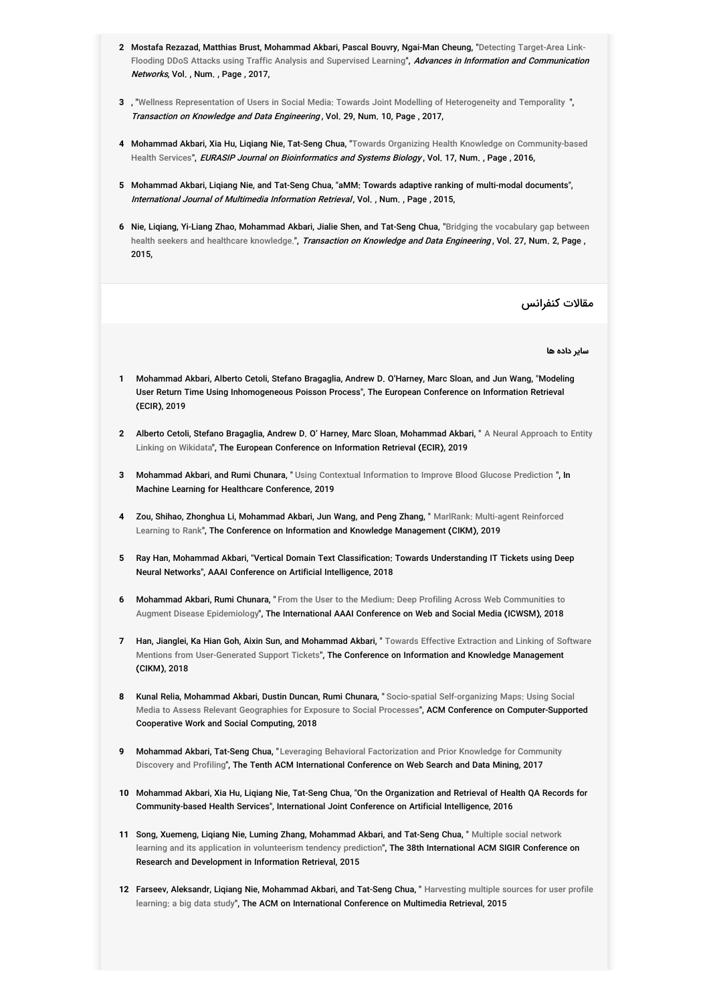- **2** Mostafa Rezazad, Matthias Brust, [Mohammad](http://www.springerprofessional.de/en/detecting-target-area-link-flooding-ddos-attacks-using-traffi) Akbari, Pascal Bouvry, Ngai-Man Cheung, " Detecting Target-Area Link-Flooding DDoS Attacks using Traffic Analysis and Supervised Learning", *Advances in Information and Communication Networks*, Vol. , Num. , Page , 2017,
- **3** , "Wellness [Representation](http://ieeexplore.ieee.org/document/7967681) of Users in Social Media: Towards Joint Modelling of Heterogeneity and Temporality ", Transaction on Knowledge and Data Engineering, Vol. 29, Num. 10, Page, 2017,
- **4 Mohammad Akbari, Xia Hu, Liqiang Nie, Tat-Seng Chua, "Towards Organizing Health Knowledge on [Community-based](http://www.ncbi.nlm.nih.gov/pmc/articles/PMC5114333/)** Health Services", *EURASIP Journal on Bioinformatics and Systems Biology*, Vol. 17, Num. , Page , 2016,
- **5** Mohammad Akbari, Liqiang Nie, and Tat-Seng Chua, "aMM: Towards adaptive ranking of multi-modal documents", International Journal of Multimedia Information Retrieval, Vol., Num., Page, 2015,
- **6** Nie, Liqiang, Yi-Liang Zhao, [Mohammad](http://ieeexplore.ieee.org/document/6843980) Akbari, Jialie Shen, and Tat-Seng Chua, " Bridging the vocabulary gap between health seekers and healthcare knowledge.", *Transaction on Knowledge and Data Engineering* , Vol. 27, Num. 2, Page , 2015,

مقالات کنفرانس

**سایر داده ها**

- **1** Mohammad Akbari, Alberto Cetoli, Stefano Bragaglia, Andrew D. O'Harney, Marc Sloan, and Jun Wang, "Modeling User Return Time Using Inhomogeneous Poisson Process", The European Conference on Information Retrieval (ECIR), 2019
- **2** Alberto Cetoli, Stefano Bragaglia, Andrew D. O' Harney, Marc Sloan, [Mohammad](http://https//link.springer.com/chapter/10.1007/978-3-030-15719-7_10) Akbari, " A Neural Approach to Entity Linking on Wikidata", The European Conference on Information Retrieval (ECIR), 2019
- **3 Mohammad Akbari, and Rumi Chunara,** " Using Contextual [Information](http://https//arxiv.org/abs/1909.01735#:~:text=Given%20a%20robust%20evaluation%20across,glucose%20predicti) to Improve Blood Glucose Prediction ", **In** Machine Learning for Healthcare Conference, 2019
- **4** Zou, Shihao, Zhonghua Li, Mohammad Akbari, Jun Wang, and Peng Zhang, " MarlRank: Multi-agent Reinforced Learning to Rank", The Conference on Information and Knowledge [Management](http://https//dl.acm.org/doi/10.1145/3357384.3358075) (CIKM), 2019
- **5** Ray Han, Mohammad Akbari, "Vertical Domain Text Classification: Towards Understanding IT Tickets using Deep Neural Networks", AAAI Conference on Artificial Intelligence, 2018
- **6 Mohammad Akbari, Rumi Chunara,** " From the User to the Medium: Deep Profiling Across Web Communities to Augment Disease [Epidemiology](http://https//arxiv.org/abs/1812.00912)"**, The International AAAI Conference on Web and Social Media (ICWSM), 2018**
- **7 Han, Jianglei, Ka Hian Goh, Aixin Sun, and Mohammad Akbari, " Towards Effective Extraction and Linking of Software** Mentions from [User-Generated](http://https//dl.acm.org/doi/10.1145/3269206.3272026) Support Tickets"**, The Conference on Information and Knowledge Management** (CIKM), 2018
- **8** Kunal Relia, Mohammad Akbari, Dustin Duncan, Rumi Chunara, " Socio-spatial Self-organizing Maps: Using Social Media to Assess Relevant Geographies for Exposure to Social Processes"**, ACM Conference on [Computer-Suppor](http://https//dl.acm.org/doi/10.1145/3274414)ted** Cooperative Work and Social Computing, 2018
- **9** Mohammad Akbari, Tat-Seng Chua, " Leveraging Behavioral [Factorization](http://https//dl.acm.org/doi/10.1145/3018661.3018693) and Prior Knowledge for Community Discovery and Profiling", The Tenth ACM International Conference on Web Search and Data Mining, 2017
- **10** Mohammad Akbari, Xia Hu, Liqiang Nie, Tat-Seng Chua, "On the Organization and Retrieval of Health QA Records for Community-based Health Services", International Joint Conference on Artificial Intelligence, 2016
- **11** Song, Xuemeng, Liqiang Nie, Luming Zhang, Mohammad Akbari, and Tat-Seng Chua, " Multiple social network learning and its application in [volunteerism](http://https//dl.acm.org/doi/10.1145/2766462.2767726) tendency prediction"**, The 38th International ACM SIGIR Conference on** Research and Development in Information Retrieval, 2015
- **12** Farseev, Aleksandr, Liqiang Nie, Mohammad Akbari, and Tat-Seng Chua, " Harvesting multiple sources for user profile learning: a big data study", The ACM on [International](http://https//dl.acm.org/doi/10.1145/2671188.2749381) Conference on Multimedia Retrieval, 2015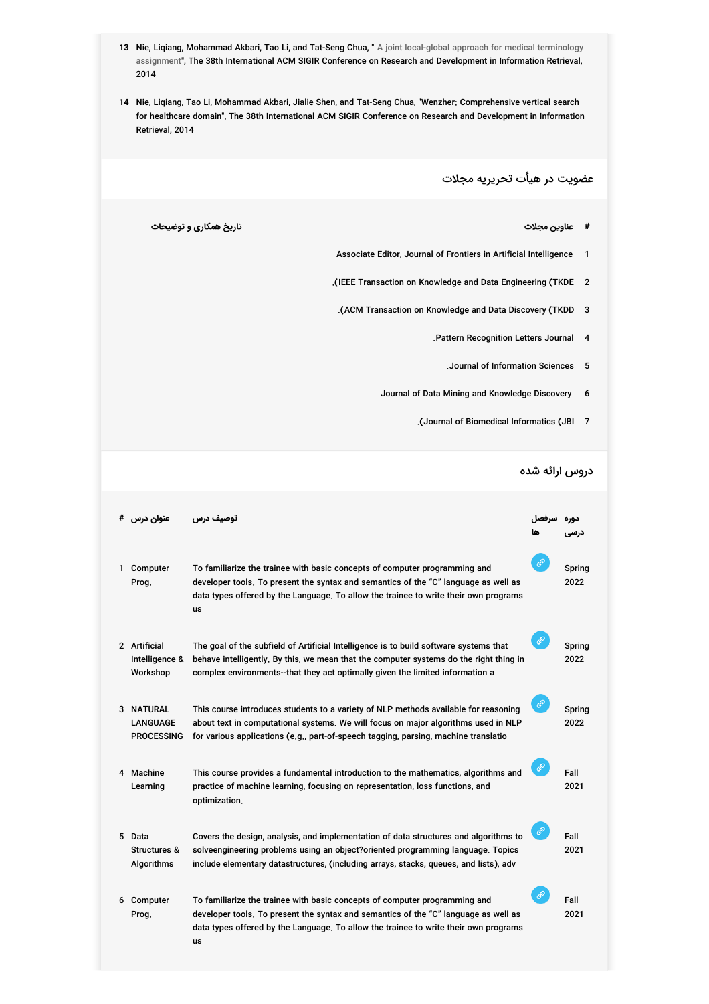- **13** Nie, Liqiang, Mohammad Akbari, Tao Li, and Tat-Seng Chua, " A joint local-global approach for medical terminology assignment", The 38th International ACM SIGIR Conference on Research and [Development](http://ceur-ws.org/Vol-1276/MedIR-SIGIR2014-06.pdf) in Information Retrieval, 2014
- **14** Nie, Liqiang, Tao Li, Mohammad Akbari, Jialie Shen, and Tat-Seng Chua, "Wenzher: Comprehensive vertical search for healthcare domain", The 38th International ACM SIGIR Conference on Research and Development in Information Retrieval, 2014

عضویت در هیأت تحریریه مجلات

- **# عناوین مجلات تاریخ همکارى و توضیحات**
	- Associate Editor, Journal of Frontiers in Artificial Intelligence 1
	- .(IEEE Transaction on Knowledge and Data Engineering (TKDE 2
	- .(ACM Transaction on Knowledge and Data Discovery (TKDD 3
		- .Pattern Recognition Letters Journal 4
			- .Journal of Information Sciences 5
		- Journal of Data Mining and Knowledge Discovery 6
			- .(Journal of Biomedical Informatics (JBI 7

#### دروس ارائه شده

|    | عنوان درس                                     | توصيف درس                                                                                                                                                                                                                                                        | سرفصل |                |
|----|-----------------------------------------------|------------------------------------------------------------------------------------------------------------------------------------------------------------------------------------------------------------------------------------------------------------------|-------|----------------|
| 1. | Computer<br>Prog.                             | To familiarize the trainee with basic concepts of computer programming and<br>developer tools. To present the syntax and semantics of the "C" language as well as<br>data types offered by the Language. To allow the trainee to write their own programs<br>us  | ℰ     | Spring<br>2022 |
|    | 2 Artificial<br>Intelligence &<br>Workshop    | The goal of the subfield of Artificial Intelligence is to build software systems that<br>behave intelligently. By this, we mean that the computer systems do the right thing in<br>complex environments--that they act optimally given the limited information a | ℰ     | Spring<br>2022 |
|    | 3 NATURAL<br>LANGUAGE<br><b>PROCESSING</b>    | This course introduces students to a variety of NLP methods available for reasoning<br>about text in computational systems. We will focus on major algorithms used in NLP<br>for various applications (e.g., part-of-speech tagging, parsing, machine translatio | ℰ     | Spring<br>2022 |
|    | 4 Machine<br>Learning                         | This course provides a fundamental introduction to the mathematics, algorithms and<br>practice of machine learning, focusing on representation, loss functions, and<br>optimization.                                                                             | ℰ     | Fall<br>2021   |
| 5. | Data<br><b>Structures &amp;</b><br>Algorithms | Covers the design, analysis, and implementation of data structures and algorithms to<br>solveengineering problems using an object?oriented programming language. Topics<br>include elementary datastructures, (including arrays, stacks, queues, and lists), adv | ℰ     | Fall<br>2021   |
|    | 6 Computer<br>Prog.                           | To familiarize the trainee with basic concepts of computer programming and<br>developer tools. To present the syntax and semantics of the "C" language as well as<br>data types offered by the Language. To allow the trainee to write their own programs<br>us  | ℰ     | Fall<br>2021   |